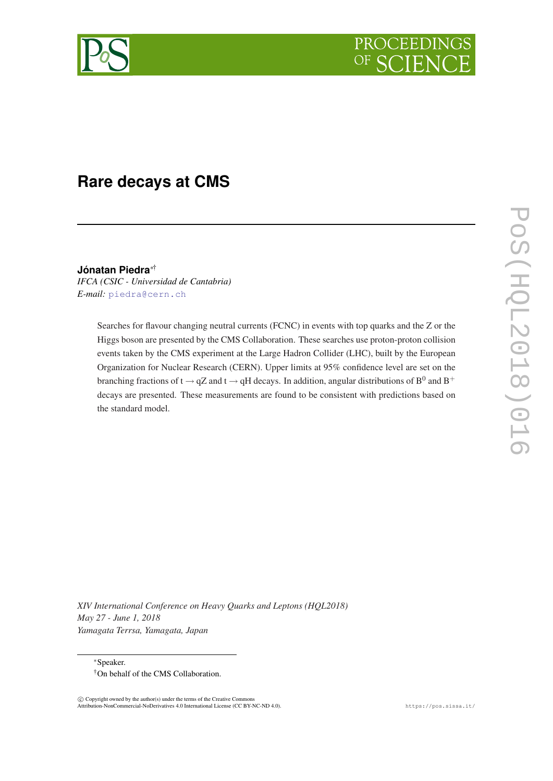

# **Rare decays at CMS**

**Jónatan Piedra**∗†

*IFCA (CSIC - Universidad de Cantabria) E-mail:* [piedra@cern.ch](mailto:piedra@cern.ch)

> Searches for flavour changing neutral currents (FCNC) in events with top quarks and the Z or the Higgs boson are presented by the CMS Collaboration. These searches use proton-proton collision events taken by the CMS experiment at the Large Hadron Collider (LHC), built by the European Organization for Nuclear Research (CERN). Upper limits at 95% confidence level are set on the branching fractions of t  $\rightarrow$  qZ and t  $\rightarrow$  qH decays. In addition, angular distributions of B<sup>0</sup> and B<sup>+</sup> decays are presented. These measurements are found to be consistent with predictions based on the standard model.

POS(EL2018)016 PoS(HQL2018)016

*XIV International Conference on Heavy Quarks and Leptons (HQL2018) May 27 - June 1, 2018 Yamagata Terrsa, Yamagata, Japan*

<sup>∗</sup>Speaker. †On behalf of the CMS Collaboration.

C Copyright owned by the author(s) under the terms of the Creative Commons Attribution-NonCommercial-NoDerivatives 4.0 International License (CC BY-NC-ND 4.0). https://pos.sissa.it/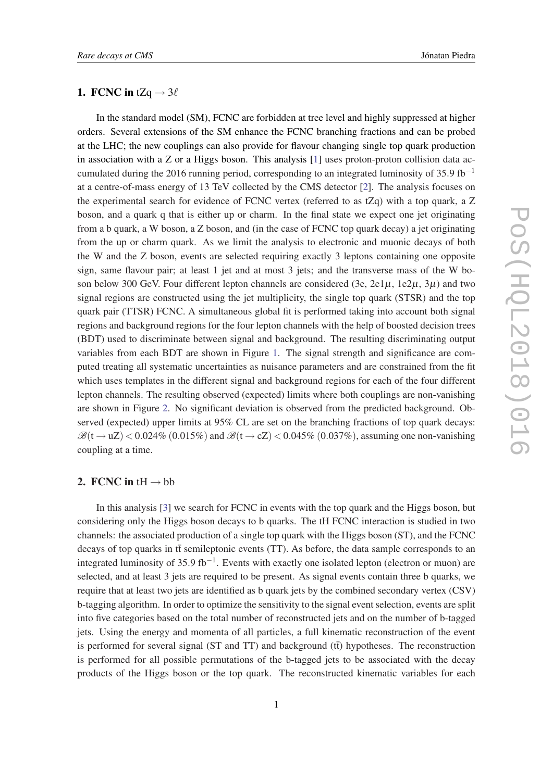### 1. FCNC in tZq  $\rightarrow$  3 $\ell$

In the standard model (SM), FCNC are forbidden at tree level and highly suppressed at higher orders. Several extensions of the SM enhance the FCNC branching fractions and can be probed at the LHC; the new couplings can also provide for flavour changing single top quark production in association with a Z or a Higgs boson. This analysis  $[1]$  uses proton-proton collision data accumulated during the 2016 running period, corresponding to an integrated luminosity of 35.9 fb<sup>-1</sup> at a centre-of-mass energy of 13 TeV collected by the CMS detector [[2](#page-7-0)]. The analysis focuses on the experimental search for evidence of FCNC vertex (referred to as  $tZq$ ) with a top quark, a Z boson, and a quark q that is either up or charm. In the final state we expect one jet originating from a b quark, a W boson, a Z boson, and (in the case of FCNC top quark decay) a jet originating from the up or charm quark. As we limit the analysis to electronic and muonic decays of both the W and the Z boson, events are selected requiring exactly 3 leptons containing one opposite sign, same flavour pair; at least 1 jet and at most 3 jets; and the transverse mass of the W boson below 300 GeV. Four different lepton channels are considered (3e,  $2e1\mu$ ,  $1e2\mu$ ,  $3\mu$ ) and two signal regions are constructed using the jet multiplicity, the single top quark (STSR) and the top quark pair (TTSR) FCNC. A simultaneous global fit is performed taking into account both signal regions and background regions for the four lepton channels with the help of boosted decision trees (BDT) used to discriminate between signal and background. The resulting discriminating output variables from each BDT are shown in Figure [1.](#page-2-0) The signal strength and significance are computed treating all systematic uncertainties as nuisance parameters and are constrained from the fit which uses templates in the different signal and background regions for each of the four different lepton channels. The resulting observed (expected) limits where both couplings are non-vanishing are shown in Figure [2.](#page-3-0) No significant deviation is observed from the predicted background. Observed (expected) upper limits at 95% CL are set on the branching fractions of top quark decays:  $\mathcal{B}(t \rightarrow uZ) < 0.024\%$  (0.015%) and  $\mathcal{B}(t \rightarrow cZ) < 0.045\%$  (0.037%), assuming one non-vanishing coupling at a time.

#### 2. FCNC in tH  $\rightarrow$  bb

In this analysis [\[3\]](#page-7-0) we search for FCNC in events with the top quark and the Higgs boson, but considering only the Higgs boson decays to b quarks. The tH FCNC interaction is studied in two channels: the associated production of a single top quark with the Higgs boson (ST), and the FCNC decays of top quarks in  $t\bar{t}$  semileptonic events (TT). As before, the data sample corresponds to an integrated luminosity of 35.9 fb−<sup>1</sup> . Events with exactly one isolated lepton (electron or muon) are selected, and at least 3 jets are required to be present. As signal events contain three b quarks, we require that at least two jets are identified as b quark jets by the combined secondary vertex (CSV) b-tagging algorithm. In order to optimize the sensitivity to the signal event selection, events are split into five categories based on the total number of reconstructed jets and on the number of b-tagged jets. Using the energy and momenta of all particles, a full kinematic reconstruction of the event is performed for several signal (ST and TT) and background  $(t\bar{t})$  hypotheses. The reconstruction is performed for all possible permutations of the b-tagged jets to be associated with the decay products of the Higgs boson or the top quark. The reconstructed kinematic variables for each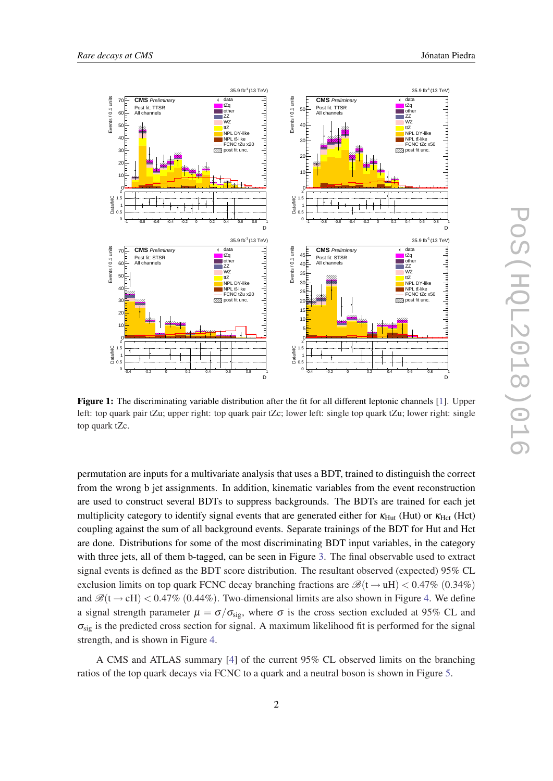<span id="page-2-0"></span>

Figure 1: The discriminating variable distribution after the fit for all different leptonic channels [[1\]](#page-7-0). Upper left: top quark pair tZu; upper right: top quark pair tZc; lower left: single top quark tZu; lower right: single top quark tZc.

permutation are inputs for a multivariate analysis that uses a BDT, trained to distinguish the correct from the wrong b jet assignments. In addition, kinematic variables from the event reconstruction are used to construct several BDTs to suppress backgrounds. The BDTs are trained for each jet multiplicity category to identify signal events that are generated either for  $\kappa_{\text{Hut}}$  (Hut) or  $\kappa_{\text{Hct}}$  (Hct) coupling against the sum of all background events. Separate trainings of the BDT for Hut and Hct are done. Distributions for some of the most discriminating BDT input variables, in the category with three jets, all of them b-tagged, can be seen in Figure [3.](#page-3-0) The final observable used to extract signal events is defined as the BDT score distribution. The resultant observed (expected) 95% CL exclusion limits on top quark FCNC decay branching fractions are  $\mathcal{B}(t \rightarrow uH) < 0.47\%$  (0.34%) and  $\mathcal{B}(t \to cH) < 0.47\%$  (0.44%). Two-dimensional limits are also shown in Figure [4.](#page-4-0) We define a signal strength parameter  $\mu = \sigma/\sigma_{sig}$ , where  $\sigma$  is the cross section excluded at 95% CL and  $\sigma_{sig}$  is the predicted cross section for signal. A maximum likelihood fit is performed for the signal strength, and is shown in Figure [4](#page-4-0).

A CMS and ATLAS summary [[4](#page-7-0)] of the current 95% CL observed limits on the branching ratios of the top quark decays via FCNC to a quark and a neutral boson is shown in Figure [5](#page-5-0).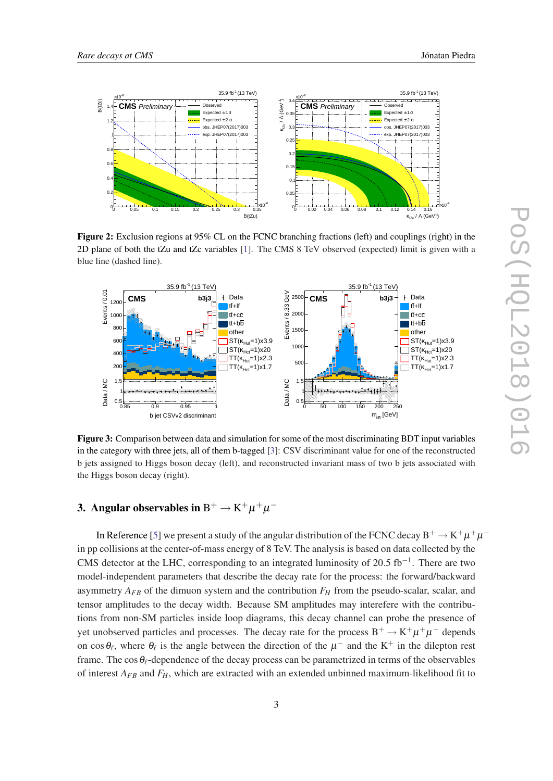<span id="page-3-0"></span>

Figure 2: Exclusion regions at 95% CL on the FCNC branching fractions (left) and couplings (right) in the 2D plane of both the tZu and tZc variables [\[1](#page-7-0)]. The CMS 8 TeV observed (expected) limit is given with a blue line (dashed line).



Figure 3: Comparison between data and simulation for some of the most discriminating BDT input variables in the category with three jets, all of them b-tagged [[3\]](#page-7-0): CSV discriminant value for one of the reconstructed b jets assigned to Higgs boson decay (left), and reconstructed invariant mass of two b jets associated with the Higgs boson decay (right).

# 3. Angular observables in  $\rm B^+ \to K^+ \mu^+ \mu^-$

In Reference [[5](#page-7-0)] we present a study of the angular distribution of the FCNC decay  $\rm B^+ \to K^+ \mu^+ \mu^$ in pp collisions at the center-of-mass energy of 8 TeV. The analysis is based on data collected by the CMS detector at the LHC, corresponding to an integrated luminosity of 20.5 fb<sup>-1</sup>. There are two model-independent parameters that describe the decay rate for the process: the forward/backward asymmetry  $A_{FB}$  of the dimuon system and the contribution  $F_H$  from the pseudo-scalar, scalar, and tensor amplitudes to the decay width. Because SM amplitudes may interefere with the contributions from non-SM particles inside loop diagrams, this decay channel can probe the presence of yet unobserved particles and processes. The decay rate for the process  $B^+ \to K^+ \mu^+ \mu^-$  depends on cos $\theta_\ell$ , where  $\theta_\ell$  is the angle between the direction of the  $\mu^-$  and the K<sup>+</sup> in the dilepton rest frame. The cos  $\theta_{\ell}$ -dependence of the decay process can be parametrized in terms of the observables of interest  $A_{FB}$  and  $F_H$ , which are extracted with an extended unbinned maximum-likelihood fit to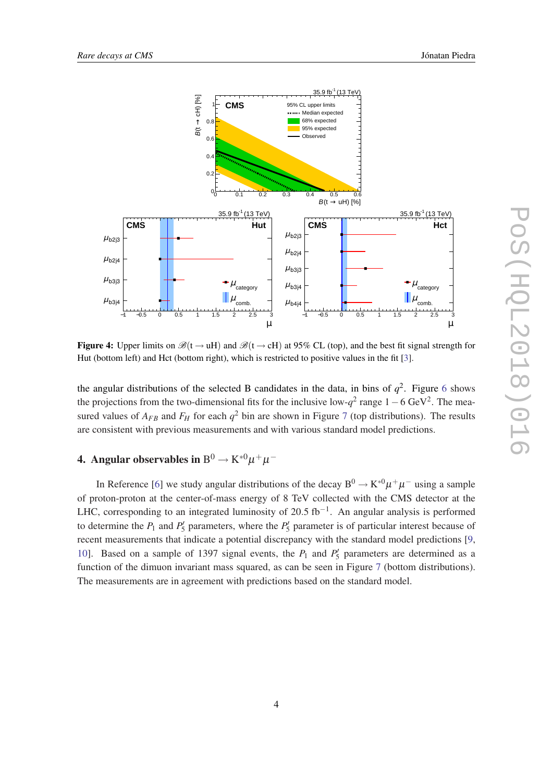<span id="page-4-0"></span>

Figure 4: Upper limits on  $\mathcal{B}(t \to uH)$  and  $\mathcal{B}(t \to cH)$  at 95% CL (top), and the best fit signal strength for Hut (bottom left) and Hct (bottom right), which is restricted to positive values in the fit [[3\]](#page-7-0).

the angular distributions of the selected B candidates in the data, in bins of  $q^2$ . Figure [6](#page-5-0) shows the projections from the two-dimensional fits for the inclusive low- $q^2$  range  $1-6$  GeV<sup>2</sup>. The measured values of  $A_{FB}$  and  $F_H$  for each  $q^2$  bin are shown in Figure [7](#page-6-0) (top distributions). The results are consistent with previous measurements and with various standard model predictions.

# 4. Angular observables in  $\mathrm{B}^0 \rightarrow \mathrm{K}^{*0} \mu^+ \mu^-$

In Reference [[6](#page-7-0)] we study angular distributions of the decay  $B^0 \to K^{*0} \mu^+ \mu^-$  using a sample of proton-proton at the center-of-mass energy of 8 TeV collected with the CMS detector at the LHC, corresponding to an integrated luminosity of 20.5 fb<sup>-1</sup>. An angular analysis is performed to determine the  $P_1$  and  $P_5$  parameters, where the  $P_5$  parameter is of particular interest because of recent measurements that indicate a potential discrepancy with the standard model predictions [[9](#page-7-0), [10](#page-7-0)]. Based on a sample of 1397 signal events, the  $P_1$  and  $P'_5$  parameters are determined as a function of the dimuon invariant mass squared, as can be seen in Figure [7](#page-6-0) (bottom distributions). The measurements are in agreement with predictions based on the standard model.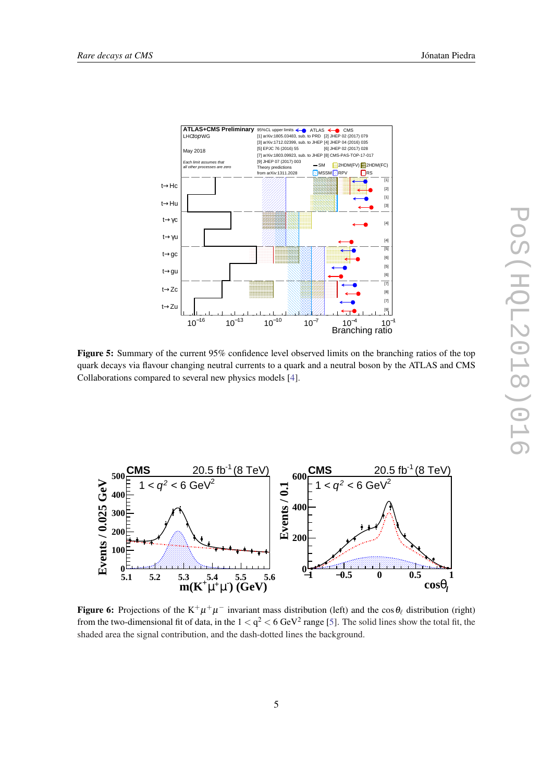<span id="page-5-0"></span>

Figure 5: Summary of the current 95% confidence level observed limits on the branching ratios of the top quark decays via flavour changing neutral currents to a quark and a neutral boson by the ATLAS and CMS Collaborations compared to several new physics models [[4\]](#page-7-0).



**Figure 6:** Projections of the  $K^+\mu^+\mu^-$  invariant mass distribution (left) and the cos  $\theta_\ell$  distribution (right) from the two-dimensional fit of data, in the  $1 < q^2 < 6$  GeV<sup>2</sup> range [[5\]](#page-7-0). The solid lines show the total fit, the shaded area the signal contribution, and the dash-dotted lines the background.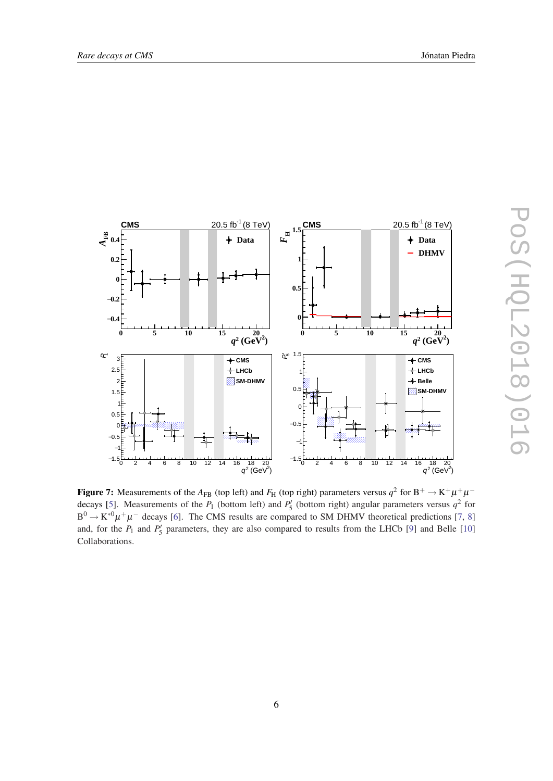<span id="page-6-0"></span>

Figure 7: Measurements of the  $A_{FB}$  (top left) and  $F_H$  (top right) parameters versus  $q^2$  for  $B^+ \to K^+ \mu^+ \mu^-$ decays [\[5](#page-7-0)]. Measurements of the  $P_1$  (bottom left) and  $P'_5$  (bottom right) angular parameters versus  $q^2$  for  $B^0 \to K^{*0} \mu^+ \mu^-$  decays [[6\]](#page-7-0). The CMS results are compared to SM DHMV theoretical predictions [[7,](#page-7-0) [8\]](#page-7-0) and, for the  $P_1$  and  $P_5'$  parameters, they are also compared to results from the LHCb [[9](#page-7-0)] and Belle [[10\]](#page-7-0) Collaborations.